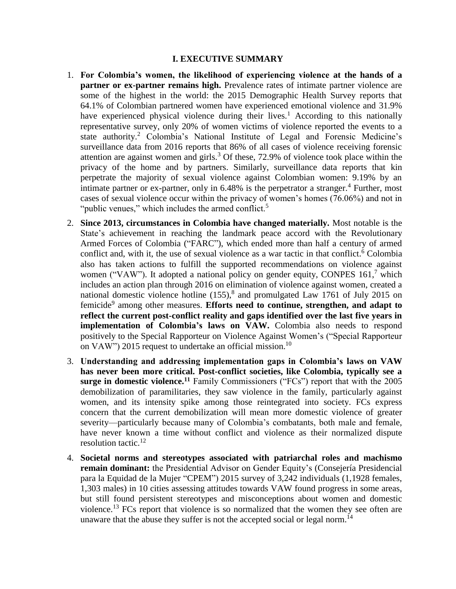### **I. EXECUTIVE SUMMARY**

- 1. **For Colombia's women, the likelihood of experiencing violence at the hands of a partner or ex-partner remains high.** Prevalence rates of intimate partner violence are some of the highest in the world: the 2015 Demographic Health Survey reports that 64.1% of Colombian partnered women have experienced emotional violence and 31.9% have experienced physical violence during their lives.<sup>1</sup> According to this nationally representative survey, only 20% of women victims of violence reported the events to a state authority.<sup>2</sup> Colombia's National Institute of Legal and Forensic Medicine's surveillance data from 2016 reports that 86% of all cases of violence receiving forensic attention are against women and girls.<sup>3</sup> Of these,  $72.9\%$  of violence took place within the privacy of the home and by partners. Similarly, surveillance data reports that kin perpetrate the majority of sexual violence against Colombian women: 9.19% by an intimate partner or ex-partner, only in 6.48% is the perpetrator a stranger.<sup>4</sup> Further, most cases of sexual violence occur within the privacy of women's homes (76.06%) and not in "public venues," which includes the armed conflict.<sup>5</sup>
- 2. **Since 2013, circumstances in Colombia have changed materially.** Most notable is the State's achievement in reaching the landmark peace accord with the Revolutionary Armed Forces of Colombia ("FARC"), which ended more than half a century of armed conflict and, with it, the use of sexual violence as a war tactic in that conflict. <sup>6</sup> Colombia also has taken actions to fulfill the supported recommendations on violence against women ("VAW"). It adopted a national policy on gender equity, CONPES 161,<sup>7</sup> which includes an action plan through 2016 on elimination of violence against women, created a national domestic violence hotline (155),<sup>8</sup> and promulgated Law 1761 of July 2015 on femicide<sup>9</sup> among other measures. Efforts need to continue, strengthen, and adapt to **reflect the current post-conflict reality and gaps identified over the last five years in implementation of Colombia's laws on VAW.** Colombia also needs to respond positively to the Special Rapporteur on Violence Against Women's ("Special Rapporteur on VAW") 2015 request to undertake an official mission.<sup>10</sup>
- 3. **Understanding and addressing implementation gaps in Colombia's laws on VAW has never been more critical. Post-conflict societies, like Colombia, typically see a surge in domestic violence.<sup>11</sup>** Family Commissioners ("FCs") report that with the 2005 demobilization of paramilitaries, they saw violence in the family, particularly against women, and its intensity spike among those reintegrated into society. FCs express concern that the current demobilization will mean more domestic violence of greater severity—particularly because many of Colombia's combatants, both male and female, have never known a time without conflict and violence as their normalized dispute resolution tactic.<sup>12</sup>
- 4. **Societal norms and stereotypes associated with patriarchal roles and machismo remain dominant:** the Presidential Advisor on Gender Equity's (Consejería Presidencial para la Equidad de la Mujer "CPEM") 2015 survey of 3,242 individuals (1,1928 females, 1,303 males) in 10 cities assessing attitudes towards VAW found progress in some areas, but still found persistent stereotypes and misconceptions about women and domestic violence.<sup>13</sup> FCs report that violence is so normalized that the women they see often are unaware that the abuse they suffer is not the accepted social or legal norm.<sup>14</sup>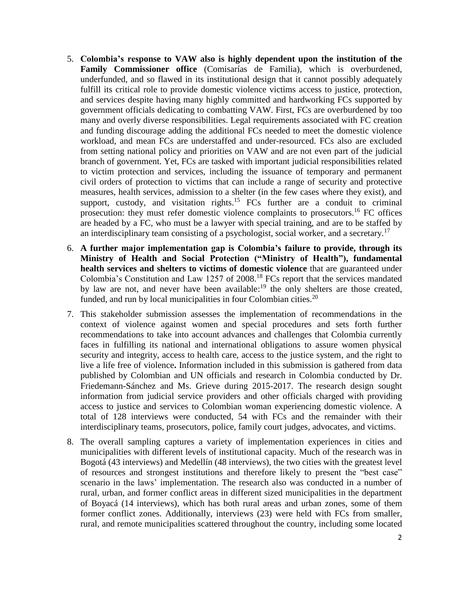- 5. **Colombia's response to VAW also is highly dependent upon the institution of the Family Commissioner office** (Comisarías de Familia), which is overburdened, underfunded, and so flawed in its institutional design that it cannot possibly adequately fulfill its critical role to provide domestic violence victims access to justice, protection, and services despite having many highly committed and hardworking FCs supported by government officials dedicating to combatting VAW. First, FCs are overburdened by too many and overly diverse responsibilities. Legal requirements associated with FC creation and funding discourage adding the additional FCs needed to meet the domestic violence workload, and mean FCs are understaffed and under-resourced. FCs also are excluded from setting national policy and priorities on VAW and are not even part of the judicial branch of government. Yet, FCs are tasked with important judicial responsibilities related to victim protection and services, including the issuance of temporary and permanent civil orders of protection to victims that can include a range of security and protective measures, health services, admission to a shelter (in the few cases where they exist), and support, custody, and visitation rights.<sup>15</sup> FCs further are a conduit to criminal prosecution: they must refer domestic violence complaints to prosecutors.<sup>16</sup> FC offices are headed by a FC, who must be a lawyer with special training, and are to be staffed by an interdisciplinary team consisting of a psychologist, social worker, and a secretary.<sup>17</sup>
- 6. **A further major implementation gap is Colombia's failure to provide, through its Ministry of Health and Social Protection ("Ministry of Health"), fundamental health services and shelters to victims of domestic violence** that are guaranteed under Colombia's Constitution and Law 1257 of 2008. <sup>18</sup> FCs report that the services mandated by law are not, and never have been available:<sup>19</sup> the only shelters are those created, funded, and run by local municipalities in four Colombian cities.<sup>20</sup>
- 7. This stakeholder submission assesses the implementation of recommendations in the context of violence against women and special procedures and sets forth further recommendations to take into account advances and challenges that Colombia currently faces in fulfilling its national and international obligations to assure women physical security and integrity, access to health care, access to the justice system, and the right to live a life free of violence**.** Information included in this submission is gathered from data published by Colombian and UN officials and research in Colombia conducted by Dr. Friedemann-Sánchez and Ms. Grieve during 2015-2017. The research design sought information from judicial service providers and other officials charged with providing access to justice and services to Colombian woman experiencing domestic violence. A total of 128 interviews were conducted, 54 with FCs and the remainder with their interdisciplinary teams, prosecutors, police, family court judges, advocates, and victims.
- 8. The overall sampling captures a variety of implementation experiences in cities and municipalities with different levels of institutional capacity. Much of the research was in Bogotá (43 interviews) and Medellín (48 interviews), the two cities with the greatest level of resources and strongest institutions and therefore likely to present the "best case" scenario in the laws' implementation. The research also was conducted in a number of rural, urban, and former conflict areas in different sized municipalities in the department of Boyacá (14 interviews), which has both rural areas and urban zones, some of them former conflict zones. Additionally, interviews (23) were held with FCs from smaller, rural, and remote municipalities scattered throughout the country, including some located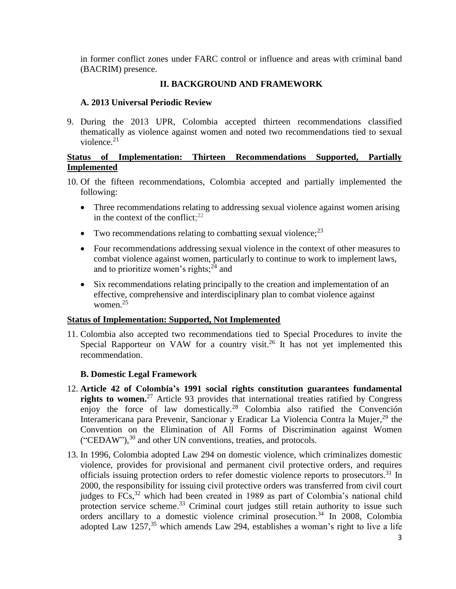in former conflict zones under FARC control or influence and areas with criminal band (BACRIM) presence.

# **II. BACKGROUND AND FRAMEWORK**

## **A. 2013 Universal Periodic Review**

9. During the 2013 UPR, Colombia accepted thirteen recommendations classified thematically as violence against women and noted two recommendations tied to sexual violence. $21$ 

# **Status of Implementation: Thirteen Recommendations Supported, Partially Implemented**

- 10. Of the fifteen recommendations, Colombia accepted and partially implemented the following:
	- Three recommendations relating to addressing sexual violence against women arising in the context of the conflict; $^{22}$
	- Two recommendations relating to combatting sexual violence;  $2<sup>3</sup>$
	- Four recommendations addressing sexual violence in the context of other measures to combat violence against women, particularly to continue to work to implement laws, and to prioritize women's rights; $^{24}$  and
	- Six recommendations relating principally to the creation and implementation of an effective, comprehensive and interdisciplinary plan to combat violence against women.<sup>25</sup>

### **Status of Implementation: Supported, Not Implemented**

11. Colombia also accepted two recommendations tied to Special Procedures to invite the Special Rapporteur on VAW for a country visit.<sup>26</sup> It has not yet implemented this recommendation.

### **B. Domestic Legal Framework**

- 12. **Article 42 of Colombia's 1991 social rights constitution guarantees fundamental rights to women.** <sup>27</sup> Article 93 provides that international treaties ratified by Congress enjoy the force of law domestically.<sup>28</sup> Colombia also ratified the Convención Interamericana para Prevenir, Sancionar y Eradicar La Violencia Contra la Mujer,<sup>29</sup> the Convention on the Elimination of All Forms of Discrimination against Women  $("CEDAW")$ ,  $^{30}$  and other UN conventions, treaties, and protocols.
- 13. In 1996, Colombia adopted Law 294 on domestic violence, which criminalizes domestic violence, provides for provisional and permanent civil protective orders, and requires officials issuing protection orders to refer domestic violence reports to prosecutors. <sup>31</sup> In 2000, the responsibility for issuing civil protective orders was transferred from civil court judges to FCs,<sup>32</sup> which had been created in 1989 as part of Colombia's national child protection service scheme.<sup>33</sup> Criminal court judges still retain authority to issue such orders ancillary to a domestic violence criminal prosecution. <sup>34</sup> In 2008, Colombia adopted Law 1257,<sup>35</sup> which amends Law 294, establishes a woman's right to live a life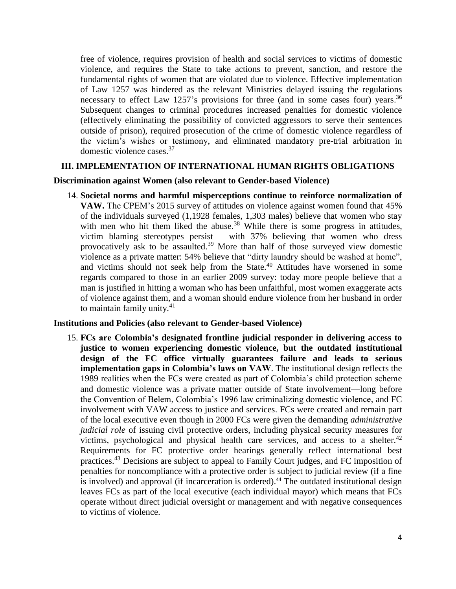free of violence, requires provision of health and social services to victims of domestic violence, and requires the State to take actions to prevent, sanction, and restore the fundamental rights of women that are violated due to violence. Effective implementation of Law 1257 was hindered as the relevant Ministries delayed issuing the regulations necessary to effect Law 1257's provisions for three (and in some cases four) years.<sup>36</sup> Subsequent changes to criminal procedures increased penalties for domestic violence (effectively eliminating the possibility of convicted aggressors to serve their sentences outside of prison), required prosecution of the crime of domestic violence regardless of the victim's wishes or testimony, and eliminated mandatory pre-trial arbitration in domestic violence cases. 37

#### **III. IMPLEMENTATION OF INTERNATIONAL HUMAN RIGHTS OBLIGATIONS**

#### **Discrimination against Women (also relevant to Gender-based Violence)**

14. **Societal norms and harmful misperceptions continue to reinforce normalization of VAW.** The CPEM's 2015 survey of attitudes on violence against women found that 45% of the individuals surveyed (1,1928 females, 1,303 males) believe that women who stay with men who hit them liked the abuse.<sup>38</sup> While there is some progress in attitudes, victim blaming stereotypes persist – with 37% believing that women who dress provocatively ask to be assaulted.<sup>39</sup> More than half of those surveyed view domestic violence as a private matter: 54% believe that "dirty laundry should be washed at home", and victims should not seek help from the State.<sup>40</sup> Attitudes have worsened in some regards compared to those in an earlier 2009 survey: today more people believe that a man is justified in hitting a woman who has been unfaithful, most women exaggerate acts of violence against them, and a woman should endure violence from her husband in order to maintain family unity. $41$ 

#### **Institutions and Policies (also relevant to Gender-based Violence)**

15. **FCs are Colombia's designated frontline judicial responder in delivering access to justice to women experiencing domestic violence, but the outdated institutional design of the FC office virtually guarantees failure and leads to serious implementation gaps in Colombia's laws on VAW**. The institutional design reflects the 1989 realities when the FCs were created as part of Colombia's child protection scheme and domestic violence was a private matter outside of State involvement—long before the Convention of Belem, Colombia's 1996 law criminalizing domestic violence, and FC involvement with VAW access to justice and services. FCs were created and remain part of the local executive even though in 2000 FCs were given the demanding *administrative judicial role* of issuing civil protective orders, including physical security measures for victims, psychological and physical health care services, and access to a shelter.<sup>42</sup> Requirements for FC protective order hearings generally reflect international best practices.<sup>43</sup> Decisions are subject to appeal to Family Court judges, and FC imposition of penalties for noncompliance with a protective order is subject to judicial review (if a fine is involved) and approval (if incarceration is ordered).<sup>44</sup> The outdated institutional design leaves FCs as part of the local executive (each individual mayor) which means that FCs operate without direct judicial oversight or management and with negative consequences to victims of violence.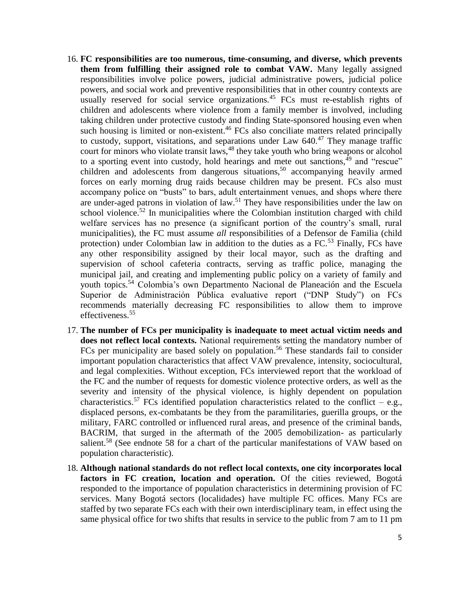- 16. **FC responsibilities are too numerous, time-consuming, and diverse, which prevents them from fulfilling their assigned role to combat VAW.** Many legally assigned responsibilities involve police powers, judicial administrative powers, judicial police powers, and social work and preventive responsibilities that in other country contexts are usually reserved for social service organizations.<sup>45</sup> FCs must re-establish rights of children and adolescents where violence from a family member is involved, including taking children under protective custody and finding State-sponsored housing even when such housing is limited or non-existent.<sup>46</sup> FCs also conciliate matters related principally to custody, support, visitations, and separations under Law  $640.^{47}$  They manage traffic court for minors who violate transit laws,<sup>48</sup> they take youth who bring weapons or alcohol to a sporting event into custody, hold hearings and mete out sanctions, $49$  and "rescue" children and adolescents from dangerous situations,<sup>50</sup> accompanying heavily armed forces on early morning drug raids because children may be present. FCs also must accompany police on "busts" to bars, adult entertainment venues, and shops where there are under-aged patrons in violation of law.<sup>51</sup> They have responsibilities under the law on school violence.<sup>52</sup> In municipalities where the Colombian institution charged with child welfare services has no presence (a significant portion of the country's small, rural municipalities), the FC must assume *all* responsibilities of a Defensor de Familia (child protection) under Colombian law in addition to the duties as a FC.<sup>53</sup> Finally, FCs have any other responsibility assigned by their local mayor, such as the drafting and supervision of school cafeteria contracts, serving as traffic police, managing the municipal jail, and creating and implementing public policy on a variety of family and youth topics.<sup>54</sup> Colombia's own Departmento Nacional de Planeación and the Escuela Superior de Administración Pública evaluative report ("DNP Study") on FCs recommends materially decreasing FC responsibilities to allow them to improve effectiveness. 55
- 17. **The number of FCs per municipality is inadequate to meet actual victim needs and does not reflect local contexts.** National requirements setting the mandatory number of FCs per municipality are based solely on population.<sup>56</sup> These standards fail to consider important population characteristics that affect VAW prevalence, intensity, sociocultural, and legal complexities. Without exception, FCs interviewed report that the workload of the FC and the number of requests for domestic violence protective orders, as well as the severity and intensity of the physical violence, is highly dependent on population characteristics.<sup>57</sup> FCs identified population characteristics related to the conflict – e.g., displaced persons, ex-combatants be they from the paramilitaries, guerilla groups, or the military, FARC controlled or influenced rural areas, and presence of the criminal bands, BACRIM, that surged in the aftermath of the 2005 demobilization- as particularly salient.<sup>58</sup> (See endnote 58 for a chart of the particular manifestations of VAW based on population characteristic).
- 18. **Although national standards do not reflect local contexts, one city incorporates local factors in FC creation, location and operation.** Of the cities reviewed, Bogotá responded to the importance of population characteristics in determining provision of FC services. Many Bogotá sectors (localidades) have multiple FC offices. Many FCs are staffed by two separate FCs each with their own interdisciplinary team, in effect using the same physical office for two shifts that results in service to the public from 7 am to 11 pm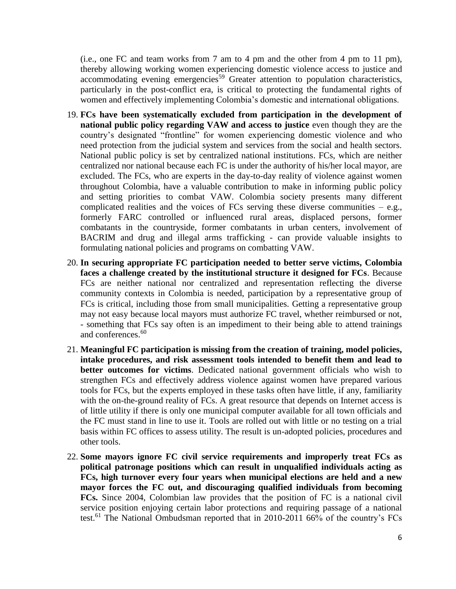(i.e., one FC and team works from 7 am to 4 pm and the other from 4 pm to 11 pm), thereby allowing working women experiencing domestic violence access to justice and accommodating evening emergencies<sup>59</sup> Greater attention to population characteristics, particularly in the post-conflict era, is critical to protecting the fundamental rights of women and effectively implementing Colombia's domestic and international obligations.

- 19. **FCs have been systematically excluded from participation in the development of national public policy regarding VAW and access to justice** even though they are the country's designated "frontline" for women experiencing domestic violence and who need protection from the judicial system and services from the social and health sectors. National public policy is set by centralized national institutions. FCs, which are neither centralized nor national because each FC is under the authority of his/her local mayor, are excluded. The FCs, who are experts in the day-to-day reality of violence against women throughout Colombia, have a valuable contribution to make in informing public policy and setting priorities to combat VAW. Colombia society presents many different complicated realities and the voices of FCs serving these diverse communities  $-$  e.g., formerly FARC controlled or influenced rural areas, displaced persons, former combatants in the countryside, former combatants in urban centers, involvement of BACRIM and drug and illegal arms trafficking - can provide valuable insights to formulating national policies and programs on combatting VAW.
- 20. **In securing appropriate FC participation needed to better serve victims, Colombia faces a challenge created by the institutional structure it designed for FCs**. Because FCs are neither national nor centralized and representation reflecting the diverse community contexts in Colombia is needed, participation by a representative group of FCs is critical, including those from small municipalities. Getting a representative group may not easy because local mayors must authorize FC travel, whether reimbursed or not, - something that FCs say often is an impediment to their being able to attend trainings and conferences.<sup>60</sup>
- 21. **Meaningful FC participation is missing from the creation of training, model policies, intake procedures, and risk assessment tools intended to benefit them and lead to better outcomes for victims**. Dedicated national government officials who wish to strengthen FCs and effectively address violence against women have prepared various tools for FCs, but the experts employed in these tasks often have little, if any, familiarity with the on-the-ground reality of FCs. A great resource that depends on Internet access is of little utility if there is only one municipal computer available for all town officials and the FC must stand in line to use it. Tools are rolled out with little or no testing on a trial basis within FC offices to assess utility. The result is un-adopted policies, procedures and other tools.
- 22. **Some mayors ignore FC civil service requirements and improperly treat FCs as political patronage positions which can result in unqualified individuals acting as FCs, high turnover every four years when municipal elections are held and a new mayor forces the FC out, and discouraging qualified individuals from becoming FCs.** Since 2004, Colombian law provides that the position of FC is a national civil service position enjoying certain labor protections and requiring passage of a national test.<sup>61</sup> The National Ombudsman reported that in 2010-2011 66% of the country's FCs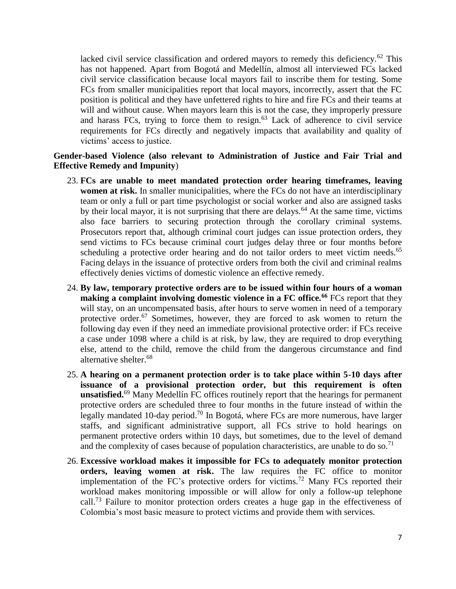lacked civil service classification and ordered mayors to remedy this deficiency.<sup>62</sup> This has not happened. Apart from Bogotá and Medellín, almost all interviewed FCs lacked civil service classification because local mayors fail to inscribe them for testing. Some FCs from smaller municipalities report that local mayors, incorrectly, assert that the FC position is political and they have unfettered rights to hire and fire FCs and their teams at will and without cause. When mayors learn this is not the case, they improperly pressure and harass FCs, trying to force them to resign. $63$  Lack of adherence to civil service requirements for FCs directly and negatively impacts that availability and quality of victims' access to justice.

## **Gender-based Violence (also relevant to Administration of Justice and Fair Trial and Effective Remedy and Impunity**)

- 23. **FCs are unable to meet mandated protection order hearing timeframes, leaving women at risk.** In smaller municipalities, where the FCs do not have an interdisciplinary team or only a full or part time psychologist or social worker and also are assigned tasks by their local mayor, it is not surprising that there are delays.<sup>64</sup> At the same time, victims also face barriers to securing protection through the corollary criminal systems. Prosecutors report that, although criminal court judges can issue protection orders, they send victims to FCs because criminal court judges delay three or four months before scheduling a protective order hearing and do not tailor orders to meet victim needs.<sup>65</sup> Facing delays in the issuance of protective orders from both the civil and criminal realms effectively denies victims of domestic violence an effective remedy.
- 24. **By law, temporary protective orders are to be issued within four hours of a woman making a complaint involving domestic violence in a FC office.<sup>66</sup>** FCs report that they will stay, on an uncompensated basis, after hours to serve women in need of a temporary protective order.<sup>67</sup> Sometimes, however, they are forced to ask women to return the following day even if they need an immediate provisional protective order: if FCs receive a case under 1098 where a child is at risk, by law, they are required to drop everything else, attend to the child, remove the child from the dangerous circumstance and find alternative shelter.<sup>68</sup>
- 25. **A hearing on a permanent protection order is to take place within 5-10 days after issuance of a provisional protection order, but this requirement is often unsatisfied.**<sup>69</sup> Many Medellín FC offices routinely report that the hearings for permanent protective orders are scheduled three to four months in the future instead of within the legally mandated 10-day period.<sup>70</sup> In Bogotá, where FCs are more numerous, have larger staffs, and significant administrative support, all FCs strive to hold hearings on permanent protective orders within 10 days, but sometimes, due to the level of demand and the complexity of cases because of population characteristics, are unable to do so.<sup>71</sup>
- 26. **Excessive workload makes it impossible for FCs to adequately monitor protection orders, leaving women at risk.** The law requires the FC office to monitor implementation of the FC's protective orders for victims.<sup>72</sup> Many FCs reported their workload makes monitoring impossible or will allow for only a follow-up telephone call.<sup>73</sup> Failure to monitor protection orders creates a huge gap in the effectiveness of Colombia's most basic measure to protect victims and provide them with services.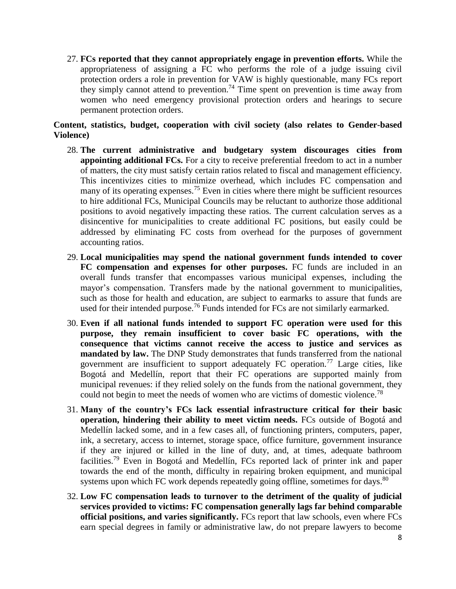27. **FCs reported that they cannot appropriately engage in prevention efforts.** While the appropriateness of assigning a FC who performs the role of a judge issuing civil protection orders a role in prevention for VAW is highly questionable, many FCs report they simply cannot attend to prevention.<sup>74</sup> Time spent on prevention is time away from women who need emergency provisional protection orders and hearings to secure permanent protection orders.

# **Content, statistics, budget, cooperation with civil society (also relates to Gender-based Violence)**

- 28. **The current administrative and budgetary system discourages cities from appointing additional FCs.** For a city to receive preferential freedom to act in a number of matters, the city must satisfy certain ratios related to fiscal and management efficiency. This incentivizes cities to minimize overhead, which includes FC compensation and many of its operating expenses.<sup>75</sup> Even in cities where there might be sufficient resources to hire additional FCs, Municipal Councils may be reluctant to authorize those additional positions to avoid negatively impacting these ratios. The current calculation serves as a disincentive for municipalities to create additional FC positions, but easily could be addressed by eliminating FC costs from overhead for the purposes of government accounting ratios.
- 29. **Local municipalities may spend the national government funds intended to cover FC compensation and expenses for other purposes.** FC funds are included in an overall funds transfer that encompasses various municipal expenses, including the mayor's compensation. Transfers made by the national government to municipalities, such as those for health and education, are subject to earmarks to assure that funds are used for their intended purpose.<sup>76</sup> Funds intended for FCs are not similarly earmarked.
- 30. **Even if all national funds intended to support FC operation were used for this purpose, they remain insufficient to cover basic FC operations, with the consequence that victims cannot receive the access to justice and services as mandated by law.** The DNP Study demonstrates that funds transferred from the national government are insufficient to support adequately FC operation.<sup>77</sup> Large cities, like Bogotá and Medellín, report that their FC operations are supported mainly from municipal revenues: if they relied solely on the funds from the national government, they could not begin to meet the needs of women who are victims of domestic violence.<sup>78</sup>
- 31. **Many of the country's FCs lack essential infrastructure critical for their basic operation, hindering their ability to meet victim needs.** FCs outside of Bogotá and Medellín lacked some, and in a few cases all, of functioning printers, computers, paper, ink, a secretary, access to internet, storage space, office furniture, government insurance if they are injured or killed in the line of duty, and, at times, adequate bathroom facilities.<sup>79</sup> Even in Bogotá and Medellín, FCs reported lack of printer ink and paper towards the end of the month, difficulty in repairing broken equipment, and municipal systems upon which FC work depends repeatedly going offline, sometimes for days. $80$
- 32. **Low FC compensation leads to turnover to the detriment of the quality of judicial services provided to victims: FC compensation generally lags far behind comparable official positions, and varies significantly.** FCs report that law schools, even where FCs earn special degrees in family or administrative law, do not prepare lawyers to become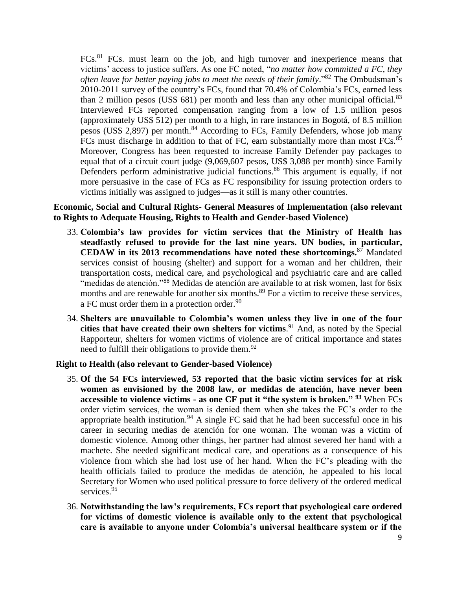FCs.<sup>81</sup> FCs. must learn on the job, and high turnover and inexperience means that victims' access to justice suffers. As one FC noted, "*no matter how committed a FC, they often leave for better paying jobs to meet the needs of their family*." <sup>82</sup> The Ombudsman's 2010-2011 survey of the country's FCs, found that 70.4% of Colombia's FCs, earned less than 2 million pesos (US\$ 681) per month and less than any other municipal official.<sup>83</sup> Interviewed FCs reported compensation ranging from a low of 1.5 million pesos (approximately US\$ 512) per month to a high, in rare instances in Bogotá, of 8.5 million pesos (US\$ 2,897) per month.<sup>84</sup> According to FCs, Family Defenders, whose job many FCs must discharge in addition to that of FC, earn substantially more than most FCs.<sup>85</sup> Moreover, Congress has been requested to increase Family Defender pay packages to equal that of a circuit court judge (9,069,607 pesos, US\$ 3,088 per month) since Family Defenders perform administrative judicial functions.<sup>86</sup> This argument is equally, if not more persuasive in the case of FCs as FC responsibility for issuing protection orders to victims initially was assigned to judges—as it still is many other countries.

### **Economic, Social and Cultural Rights- General Measures of Implementation (also relevant to Rights to Adequate Housing, Rights to Health and Gender-based Violence)**

- 33. **Colombia's law provides for victim services that the Ministry of Health has steadfastly refused to provide for the last nine years. UN bodies, in particular, CEDAW in its 2013 recommendations have noted these shortcomings.**<sup>87</sup> Mandated services consist of housing (shelter) and support for a woman and her children, their transportation costs, medical care, and psychological and psychiatric care and are called "medidas de atención."<sup>88</sup> Medidas de atención are available to at risk women, last for 6six months and are renewable for another six months.<sup>89</sup> For a victim to receive these services, a FC must order them in a protection order.  $90$
- 34. **Shelters are unavailable to Colombia's women unless they live in one of the four cities that have created their own shelters for victims**. <sup>91</sup> And, as noted by the Special Rapporteur, shelters for women victims of violence are of critical importance and states need to fulfill their obligations to provide them.<sup>92</sup>

### **Right to Health (also relevant to Gender-based Violence)**

- 35. **Of the 54 FCs interviewed, 53 reported that the basic victim services for at risk women as envisioned by the 2008 law, or medidas de atención, have never been accessible to violence victims - as one CF put it "the system is broken." <sup>93</sup>** When FCs order victim services, the woman is denied them when she takes the FC's order to the appropriate health institution.<sup>94</sup> A single FC said that he had been successful once in his career in securing medias de atención for one woman. The woman was a victim of domestic violence. Among other things, her partner had almost severed her hand with a machete. She needed significant medical care, and operations as a consequence of his violence from which she had lost use of her hand. When the FC's pleading with the health officials failed to produce the medidas de atención, he appealed to his local Secretary for Women who used political pressure to force delivery of the ordered medical services.<sup>95</sup>
- 36. **Notwithstanding the law's requirements, FCs report that psychological care ordered for victims of domestic violence is available only to the extent that psychological care is available to anyone under Colombia's universal healthcare system or if the**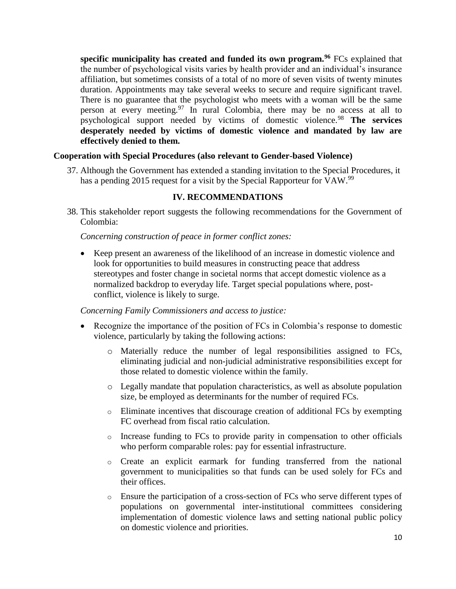**specific municipality has created and funded its own program.<sup>96</sup>** FCs explained that the number of psychological visits varies by health provider and an individual's insurance affiliation, but sometimes consists of a total of no more of seven visits of twenty minutes duration. Appointments may take several weeks to secure and require significant travel. There is no guarantee that the psychologist who meets with a woman will be the same person at every meeting.<sup>97</sup> In rural Colombia, there may be no access at all to psychological support needed by victims of domestic violence.<sup>98</sup> **The services desperately needed by victims of domestic violence and mandated by law are effectively denied to them.**

## **Cooperation with Special Procedures (also relevant to Gender-based Violence)**

37. Although the Government has extended a standing invitation to the Special Procedures, it has a pending 2015 request for a visit by the Special Rapporteur for VAW.<sup>99</sup>

# **IV. RECOMMENDATIONS**

38. This stakeholder report suggests the following recommendations for the Government of Colombia:

## *Concerning construction of peace in former conflict zones:*

 Keep present an awareness of the likelihood of an increase in domestic violence and look for opportunities to build measures in constructing peace that address stereotypes and foster change in societal norms that accept domestic violence as a normalized backdrop to everyday life. Target special populations where, postconflict, violence is likely to surge.

*Concerning Family Commissioners and access to justice:*

- Recognize the importance of the position of FCs in Colombia's response to domestic violence, particularly by taking the following actions:
	- o Materially reduce the number of legal responsibilities assigned to FCs, eliminating judicial and non-judicial administrative responsibilities except for those related to domestic violence within the family.
	- o Legally mandate that population characteristics, as well as absolute population size, be employed as determinants for the number of required FCs.
	- o Eliminate incentives that discourage creation of additional FCs by exempting FC overhead from fiscal ratio calculation.
	- $\circ$  Increase funding to FCs to provide parity in compensation to other officials who perform comparable roles: pay for essential infrastructure.
	- o Create an explicit earmark for funding transferred from the national government to municipalities so that funds can be used solely for FCs and their offices.
	- o Ensure the participation of a cross-section of FCs who serve different types of populations on governmental inter-institutional committees considering implementation of domestic violence laws and setting national public policy on domestic violence and priorities.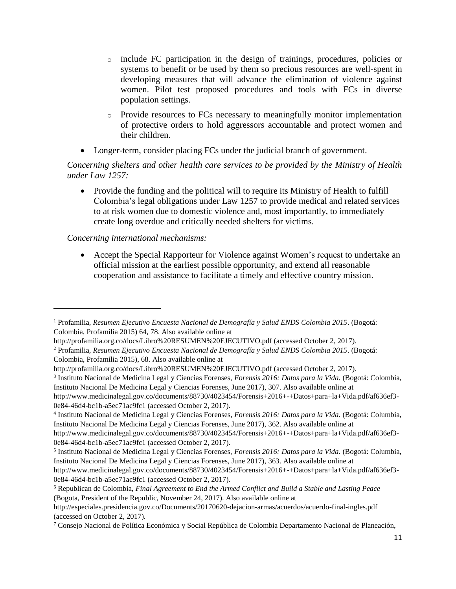- o Include FC participation in the design of trainings, procedures, policies or systems to benefit or be used by them so precious resources are well-spent in developing measures that will advance the elimination of violence against women. Pilot test proposed procedures and tools with FCs in diverse population settings.
- o Provide resources to FCs necessary to meaningfully monitor implementation of protective orders to hold aggressors accountable and protect women and their children.
- Longer-term, consider placing FCs under the judicial branch of government.

*Concerning shelters and other health care services to be provided by the Ministry of Health under Law 1257:*

• Provide the funding and the political will to require its Ministry of Health to fulfill Colombia's legal obligations under Law 1257 to provide medical and related services to at risk women due to domestic violence and, most importantly, to immediately create long overdue and critically needed shelters for victims.

*Concerning international mechanisms:*

 $\overline{\phantom{a}}$ 

 Accept the Special Rapporteur for Violence against Women's request to undertake an official mission at the earliest possible opportunity, and extend all reasonable cooperation and assistance to facilitate a timely and effective country mission.

0e84-46d4-bc1b-a5ec71ac9fc1 (accessed October 2, 2017).

<sup>6</sup> Republican de Colombia, *Final Agreement to End the Armed Conflict and Build a Stable and Lasting Peace* (Bogota, President of the Republic, November 24, 2017). Also available online at

<sup>1</sup> Profamilia, *Resumen Ejecutivo Encuesta Nacional de Demografía y Salud ENDS Colombia 2015*. (Bogotá: Colombia, Profamilia 2015) 64, 78. Also available online at

http://profamilia.org.co/docs/Libro%20RESUMEN%20EJECUTIVO.pdf (accessed October 2, 2017).

<sup>2</sup> Profamilia, *Resumen Ejecutivo Encuesta Nacional de Demografía y Salud ENDS Colombia 2015*. (Bogotá: Colombia, Profamilia 2015), 68. Also available online at

http://profamilia.org.co/docs/Libro%20RESUMEN%20EJECUTIVO.pdf (accessed October 2, 2017).

<sup>3</sup> Instituto Nacional de Medicina Legal y Ciencias Forenses, *Forensis 2016: Datos para la Vida.* (Bogotá: Colombia, Instituto Nacional De Medicina Legal y Ciencias Forenses, June 2017), 307. Also available online at http://www.medicinalegal.gov.co/documents/88730/4023454/Forensis+2016+-+Datos+para+la+Vida.pdf/af636ef3-

<sup>4</sup> Instituto Nacional de Medicina Legal y Ciencias Forenses, *Forensis 2016: Datos para la Vida.* (Bogotá: Columbia, Instituto Nacional De Medicina Legal y Ciencias Forenses, June 2017), 362. Also available online at

http://www.medicinalegal.gov.co/documents/88730/4023454/Forensis+2016+-+Datos+para+la+Vida.pdf/af636ef3- 0e84-46d4-bc1b-a5ec71ac9fc1 (accessed October 2, 2017).

<sup>5</sup> Instituto Nacional de Medicina Legal y Ciencias Forenses, *Forensis 2016: Datos para la Vida.* (Bogotá: Columbia, Instituto Nacional De Medicina Legal y Ciencias Forenses, June 2017), 363. Also available online at http://www.medicinalegal.gov.co/documents/88730/4023454/Forensis+2016+-+Datos+para+la+Vida.pdf/af636ef3- 0e84-46d4-bc1b-a5ec71ac9fc1 (accessed October 2, 2017).

http://especiales.presidencia.gov.co/Documents/20170620-dejacion-armas/acuerdos/acuerdo-final-ingles.pdf (accessed on October 2, 2017).

<sup>7</sup> Consejo Nacional de Política Económica y Social República de Colombia Departamento Nacional de Planeación,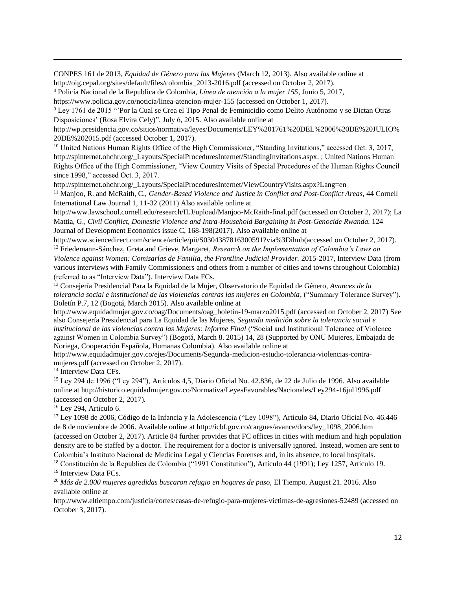CONPES 161 de 2013, *Equidad de Género para las Mujeres* (March 12, 2013). Also available online at http://oig.cepal.org/sites/default/files/colombia\_2013-2016.pdf (accessed on October 2, 2017).

<sup>8</sup> Policía Nacional de la Republica de Colombia, *Línea de atención a la mujer 155*, Junio 5, 2017, https://www.policia.gov.co/noticia/linea-atencion-mujer-155 (accessed on October 1, 2017).

<sup>9</sup> Ley 1761 de 2015 "'Por la Cual se Crea el Tipo Penal de Feminicidio como Delito Autónomo y se Dictan Otras Disposiciones' (Rosa Elvira Cely)", July 6, 2015. Also available online at

http://wp.presidencia.gov.co/sitios/normativa/leyes/Documents/LEY%201761%20DEL%2006%20DE%20JULIO% 20DE%202015.pdf (accessed October 1, 2017).

<sup>10</sup> United Nations Human Rights Office of the High Commissioner, "Standing Invitations," accessed Oct. 3, 2017, http://spinternet.ohchr.org/\_Layouts/SpecialProceduresInternet/StandingInvitations.aspx. ; United Nations Human Rights Office of the High Commissioner, "View Country Visits of Special Procedures of the Human Rights Council since 1998," accessed Oct. 3, 2017.

http://spinternet.ohchr.org/\_Layouts/SpecialProceduresInternet/ViewCountryVisits.aspx?Lang=en

<sup>11</sup> Manjoo, R. and McRaith, C., *Gender-Based Violence and Justice in Conflict and Post-Conflict Areas,* 44 Cornell International Law Journal 1, 11-32 (2011) Also available online at

http://www.lawschool.cornell.edu/research/ILJ/upload/Manjoo-McRaith-final.pdf (accessed on October 2, 2017); La Mattia, G., *Civil Conflict, Domestic Violence and Intra-Household Bargaining in Post-Genocide Rwanda.* 124 [Journal of Development Economics](https://econpapers.repec.org/article/eeedeveco/) issue C, 168-198(2017). Also available online at

http://www.sciencedirect.com/science/article/pii/S0304387816300591?via%3Dihub(accessed on October 2, 2017). <sup>12</sup> Friedemann-Sánchez, Greta and Grieve, Margaret, *Research on the Implementation of Colombia's Laws on Violence against Women: Comisarías de Familia, the Frontline Judicial Provider.* 2015-2017, Interview Data (from various interviews with Family Commissioners and others from a number of cities and towns throughout Colombia)

(referred to as "Interview Data"). Interview Data FCs.

<sup>13</sup> Consejería Presidencial Para la Equidad de la Mujer, Observatorio de Equidad de Género, *Avances de la tolerancia social e institucional de las violencias contras las mujeres en Colombia,* ("Summary Tolerance Survey"). Boletín P.7, 12 (Bogotá, March 2015). Also available online at

http://www.equidadmujer.gov.co/oag/Documents/oag\_boletin-19-marzo2015.pdf (accessed on October 2, 2017) See also Consejería Presidencial para La Equidad de las Mujeres, *Segunda medición sobre la tolerancia social e institucional de las violencias contra las Mujeres: Informe Final* ("Social and Institutional Tolerance of Violence against Women in Colombia Survey") (Bogotá, March 8. 2015) 14, 28 (Supported by ONU Mujeres, Embajada de Noriega, Cooperación Española, Humanas Colombia). Also available online at

http://www.equidadmujer.gov.co/ejes/Documents/Segunda-medicion-estudio-tolerancia-violencias-contramujeres.pdf (accessed on October 2, 2017).

<sup>14</sup> Interview Data CFs.

 $\overline{a}$ 

<sup>15</sup> Ley 294 de 1996 ("Ley 294"), Artículos 4,5, Diario Oficial No. 42.836, de 22 de Julio de 1996. Also available online at http://historico.equidadmujer.gov.co/Normativa/LeyesFavorables/Nacionales/Ley294-16jul1996.pdf (accessed on October 2, 2017).

<sup>16</sup> Ley 294, Artículo 6.

<sup>17</sup> Ley 1098 de 2006, Código de la Infancia y la Adolescencia ("Ley 1098"), Artículo 84, Diario Oficial No. 46.446 de 8 de noviembre de 2006. Available online at http://icbf.gov.co/cargues/avance/docs/ley\_1098\_2006.htm (accessed on October 2, 2017). Article 84 further provides that FC offices in cities with medium and high population density are to be staffed by a doctor. The requirement for a doctor is universally ignored. Instead, women are sent to Colombia's Instituto Nacional de Medicina Legal y Ciencias Forenses and, in its absence, to local hospitals.

<sup>18</sup> Constitución de la Republica de Colombia ("1991 Constitution"), Artículo 44 (1991); Ley 1257, Artículo 19. <sup>19</sup> Interview Data FCs.

<sup>20</sup> *Más de 2.000 mujeres agredidas buscaron refugio en hogares de paso,* El Tiempo. August 21. 2016. Also available online at

http://www.eltiempo.com/justicia/cortes/casas-de-refugio-para-mujeres-victimas-de-agresiones-52489 (accessed on October 3, 2017).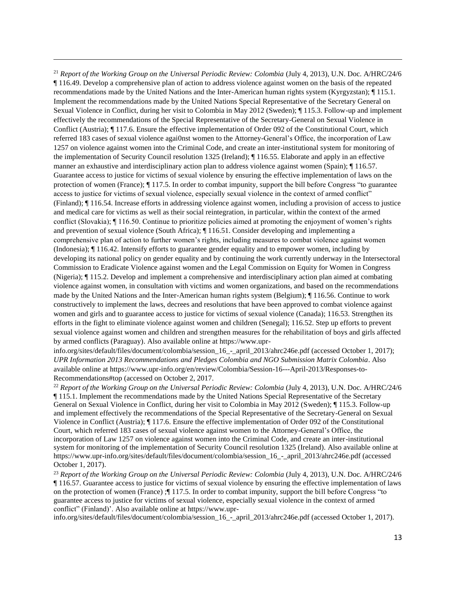<sup>21</sup> *Report of the Working Group on the Universal Periodic Review: Colombia* (July 4, 2013), U.N. Doc. A/HRC/24/6 ¶ 116.49. Develop a comprehensive plan of action to address violence against women on the basis of the repeated recommendations made by the United Nations and the Inter-American human rights system (Kyrgyzstan); ¶ 115.1. Implement the recommendations made by the United Nations Special Representative of the Secretary General on Sexual Violence in Conflict, during her visit to Colombia in May 2012 (Sweden); ¶ 115.3. Follow-up and implement effectively the recommendations of the Special Representative of the Secretary-General on Sexual Violence in Conflict (Austria); ¶ 117.6. Ensure the effective implementation of Order 092 of the Constitutional Court, which referred 183 cases of sexual violence agai0nst women to the Attorney-General's Office, the incorporation of Law 1257 on violence against women into the Criminal Code, and create an inter-institutional system for monitoring of the implementation of Security Council resolution 1325 (Ireland); ¶ 116.55. Elaborate and apply in an effective manner an exhaustive and interdisciplinary action plan to address violence against women (Spain); ¶ 116.57. Guarantee access to justice for victims of sexual violence by ensuring the effective implementation of laws on the protection of women (France); ¶ 117.5. In order to combat impunity, support the bill before Congress "to guarantee access to justice for victims of sexual violence, especially sexual violence in the context of armed conflict" (Finland); ¶ 116.54. Increase efforts in addressing violence against women, including a provision of access to justice and medical care for victims as well as their social reintegration, in particular, within the context of the armed conflict (Slovakia); ¶ 116.50. Continue to prioritize policies aimed at promoting the enjoyment of women's rights and prevention of sexual violence (South Africa); ¶ 116.51. Consider developing and implementing a comprehensive plan of action to further women's rights, including measures to combat violence against women (Indonesia); ¶ 116.42. Intensify efforts to guarantee gender equality and to empower women, including by developing its national policy on gender equality and by continuing the work currently underway in the Intersectoral Commission to Eradicate Violence against women and the Legal Commission on Equity for Women in Congress (Nigeria); ¶ 115.2. Develop and implement a comprehensive and interdisciplinary action plan aimed at combating violence against women, in consultation with victims and women organizations, and based on the recommendations made by the United Nations and the Inter-American human rights system (Belgium); ¶ 116.56. Continue to work constructively to implement the laws, decrees and resolutions that have been approved to combat violence against women and girls and to guarantee access to justice for victims of sexual violence (Canada); 116.53. Strengthen its efforts in the fight to eliminate violence against women and children (Senegal); 116.52. Step up efforts to prevent sexual violence against women and children and strengthen measures for the rehabilitation of boys and girls affected by armed conflicts (Paraguay). Also available online at https://www.upr-

 $\overline{a}$ 

info.org/sites/default/files/document/colombia/session\_16\_-\_april\_2013/ahrc246e.pdf (accessed October 1, 2017); *UPR Information 2013 Recommendations and Pledges Colombia and NGO Submission Matrix Colombia*. Also available online at https://www.upr-info.org/en/review/Colombia/Session-16---April-2013/Responses-to-Recommendations#top (accessed on October 2, 2017.

<sup>22</sup> *Report of the Working Group on the Universal Periodic Review: Colombia* (July 4, 2013), U.N. Doc. A/HRC/24/6 ¶ 115.1. Implement the recommendations made by the United Nations Special Representative of the Secretary General on Sexual Violence in Conflict, during her visit to Colombia in May 2012 (Sweden); ¶ 115.3. Follow-up and implement effectively the recommendations of the Special Representative of the Secretary-General on Sexual Violence in Conflict (Austria); ¶ 117.6. Ensure the effective implementation of Order 092 of the Constitutional Court, which referred 183 cases of sexual violence against women to the Attorney-General's Office, the incorporation of Law 1257 on violence against women into the Criminal Code, and create an inter-institutional system for monitoring of the implementation of Security Council resolution 1325 (Ireland). Also available online at https://www.upr-info.org/sites/default/files/document/colombia/session\_16\_-\_april\_2013/ahrc246e.pdf (accessed October 1, 2017).

<sup>23</sup> *Report of the Working Group on the Universal Periodic Review: Colombia* (July 4, 2013), U.N. Doc. A/HRC/24/6 ¶ 116.57. Guarantee access to justice for victims of sexual violence by ensuring the effective implementation of laws on the protection of women (France) ;¶ 117.5. In order to combat impunity, support the bill before Congress "to guarantee access to justice for victims of sexual violence, especially sexual violence in the context of armed conflict" (Finland)'. Also available online at https://www.upr-

info.org/sites/default/files/document/colombia/session\_16\_-\_april\_2013/ahrc246e.pdf (accessed October 1, 2017).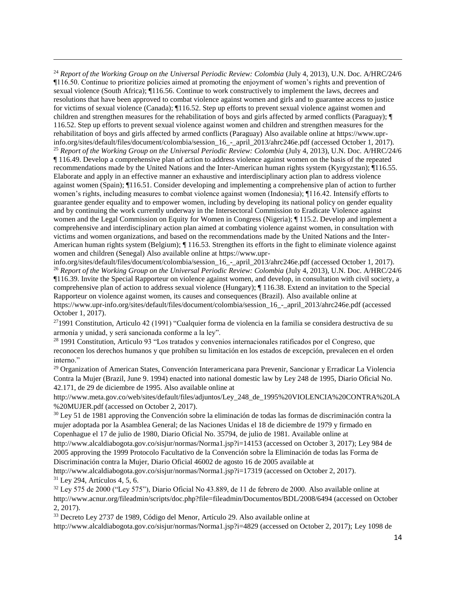<sup>24</sup> Report of the Working Group on the Universal Periodic Review: Colombia (July 4, 2013), U.N. Doc. A/HRC/24/6 ¶116.50. Continue to prioritize policies aimed at promoting the enjoyment of women's rights and prevention of sexual violence (South Africa); ¶116.56. Continue to work constructively to implement the laws, decrees and resolutions that have been approved to combat violence against women and girls and to guarantee access to justice for victims of sexual violence (Canada); ¶116.52. Step up efforts to prevent sexual violence against women and children and strengthen measures for the rehabilitation of boys and girls affected by armed conflicts (Paraguay); ¶ 116.52. Step up efforts to prevent sexual violence against women and children and strengthen measures for the rehabilitation of boys and girls affected by armed conflicts (Paraguay) Also available online at https://www.uprinfo.org/sites/default/files/document/colombia/session\_16\_-\_april\_2013/ahrc246e.pdf (accessed October 1, 2017). <sup>25</sup> *Report of the Working Group on the Universal Periodic Review: Colombia* (July 4, 2013), U.N. Doc. A/HRC/24/6

 $\overline{a}$ 

¶ 116.49. Develop a comprehensive plan of action to address violence against women on the basis of the repeated recommendations made by the United Nations and the Inter-American human rights system (Kyrgyzstan); ¶116.55. Elaborate and apply in an effective manner an exhaustive and interdisciplinary action plan to address violence against women (Spain); ¶116.51. Consider developing and implementing a comprehensive plan of action to further women's rights, including measures to combat violence against women (Indonesia); ¶116.42. Intensify efforts to guarantee gender equality and to empower women, including by developing its national policy on gender equality and by continuing the work currently underway in the Intersectoral Commission to Eradicate Violence against women and the Legal Commission on Equity for Women in Congress (Nigeria); ¶ 115.2. Develop and implement a comprehensive and interdisciplinary action plan aimed at combating violence against women, in consultation with victims and women organizations, and based on the recommendations made by the United Nations and the Inter-American human rights system (Belgium);  $\parallel$  116.53. Strengthen its efforts in the fight to eliminate violence against women and children (Senegal) Also available online at https://www.upr-

info.org/sites/default/files/document/colombia/session\_16\_-\_april\_2013/ahrc246e.pdf (accessed October 1, 2017). <sup>26</sup> *Report of the Working Group on the Universal Periodic Review: Colombia* (July 4, 2013), U.N. Doc. A/HRC/24/6 ¶116.39. Invite the Special Rapporteur on violence against women, and develop, in consultation with civil society, a comprehensive plan of action to address sexual violence (Hungary); ¶ 116.38. Extend an invitation to the Special Rapporteur on violence against women, its causes and consequences (Brazil). Also available online at https://www.upr-info.org/sites/default/files/document/colombia/session\_16\_-\_april\_2013/ahrc246e.pdf (accessed October 1, 2017).

<sup>27</sup>1991 Constitution, Articulo 42 (1991) "Cualquier forma de violencia en la familia se considera destructiva de su armonía y unidad, y será sancionada conforme a la ley".

<sup>28</sup> 1991 Constitution, Articulo 93 "Los tratados y convenios internacionales ratificados por el Congreso, que reconocen los derechos humanos y que prohíben su limitación en los estados de excepción, prevalecen en el orden interno."

<sup>29</sup> Organization of American States, Convención Interamericana para Prevenir, Sancionar y Erradicar La Violencia Contra la Mujer (Brazil, June 9. 1994) enacted into national domestic law by Ley 248 de 1995, Diario Oficial No. 42.171, de 29 de diciembre de 1995. Also available online at

http://www.meta.gov.co/web/sites/default/files/adjuntos/Ley\_248\_de\_1995%20VIOLENCIA%20CONTRA%20LA %20MUJER.pdf (accessed on October 2, 2017).

<sup>30</sup> Ley 51 de 1981 approving the Convención sobre la eliminación de todas las formas de discriminación contra la mujer adoptada por la Asamblea General; de las Naciones Unidas el 18 de diciembre de 1979 y firmado en Copenhague el 17 de julio de 1980, Diario Oficial No. 35794, de julio de 1981. Available online at

http://www.alcaldiabogota.gov.co/sisjur/normas/Norma1.jsp?i=14153 (accessed on October 3, 2017); Ley 984 de 2005 approving the 1999 Protocolo Facultativo de la Convención sobre la Eliminación de todas las Forma de Discriminación contra la Mujer, Diario Oficial 46002 de agosto 16 de 2005 available at

http://www.alcaldiabogota.gov.co/sisjur/normas/Norma1.jsp?i=17319 (accessed on October 2, 2017). <sup>31</sup> Ley 294, Artículos 4, 5, 6.

<sup>32</sup> Ley 575 de 2000 ("Ley 575"), Diario Oficial No 43.889, de 11 de febrero de 2000. Also available online at http://www.acnur.org/fileadmin/scripts/doc.php?file=fileadmin/Documentos/BDL/2008/6494 (accessed on October 2, 2017).

<sup>33</sup> Decreto Ley 2737 de 1989, Código del Menor, Artículo 29. Also available online at http://www.alcaldiabogota.gov.co/sisjur/normas/Norma1.jsp?j=4829 (accessed on October 2, 2017); Ley 1098 de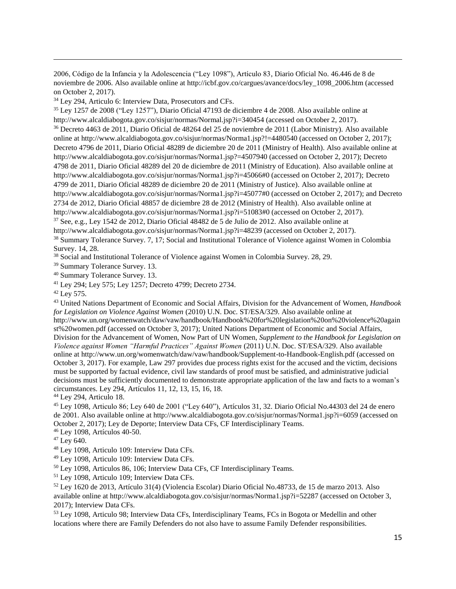2006, Código de la Infancia y la Adolescencia ("Ley 1098"), Artículo 83, Diario Oficial No. 46.446 de 8 de noviembre de 2006. Also available online at http://icbf.gov.co/cargues/avance/docs/ley\_1098\_2006.htm (accessed on October 2, 2017).

<sup>34</sup> Ley 294, Articulo 6: Interview Data, Prosecutors and CFs.

<sup>35</sup> Ley 1257 de 2008 ("Ley 1257"), Diario Oficial 47193 de diciembre 4 de 2008. Also available online at http://www.alcaldiabogota.gov.co/sisjur/normas/Normal.jsp?j=340454 (accessed on October 2, 2017). <sup>36</sup> Decreto 4463 de 2011, Diario Oficial de 48264 del 25 de noviembre de 2011 (Labor Ministry). Also available online at http://www.alcaldiabogota.gov.co/sisjur/normas/Norma1.jsp?!=4480540 (accessed on October 2, 2017); Decreto 4796 de 2011, Diario Oficial 48289 de diciembre 20 de 2011 (Ministry of Health). Also available online at http://www.alcaldiabogota.gov.co/sisjur/normas/Norma1.jsp?=4507940 (accessed on October 2, 2017); Decreto 4798 de 2011, Diario Oficial 48289 del 20 de diciembre de 2011 (Ministry of Education). Also available online at http://www.alcaldiabogota.gov.co/sisjur/normas/Norma1.jsp?i=45066#0 (accessed on October 2, 2017); Decreto 4799 de 2011, Diario Oficial 48289 de diciembre 20 de 2011 (Ministry of Justice). Also available online at http://www.alcaldiabogota.gov.co/sisjur/normas/Norma1.jsp?i=45077#0 (accessed on October 2, 2017); and Decreto 2734 de 2012, Diario Oficial 48857 de diciembre 28 de 2012 (Ministry of Health). Also available online at http://www.alcaldiabogota.gov.co/sisjur/normas/Norma1.jsp?i=51083#0 (accessed on October 2, 2017). <sup>37</sup> See, e.g., Ley 1542 de 2012, Diario Oficial 48482 de 5 de Julio de 2012. Also available online at http://www.alcaldiabogota.gov.co/sisjur/normas/Norma1.jsp?i=48239 (accessed on October 2, 2017). <sup>38</sup> Summary Tolerance Survey. 7, 17; Social and Institutional Tolerance of Violence against Women in Colombia

Survey. 14, 28. <sup>38</sup> Social and Institutional Tolerance of Violence against Women in Colombia Survey. 28, 29.

<sup>39</sup> Summary Tolerance Survey. 13.

<sup>40</sup> Summary Tolerance Survey. 13.

<sup>41</sup> Ley 294; Ley 575; Ley 1257; Decreto 4799; Decreto 2734.

<sup>42</sup> Ley 575.

 $\overline{a}$ 

<sup>43</sup> United Nations Department of Economic and Social Affairs, Division for the Advancement of Women, *Handbook for Legislation on Violence Against Women* (2010) U.N. Doc. ST/ESA/329. Also available online at http://www.un.org/womenwatch/daw/vaw/handbook/Handbook%20for%20legislation%20on%20violence%20again st%20women.pdf (accessed on October 3, 2017); United Nations Department of Economic and Social Affairs, Division for the Advancement of Women, Now Part of UN Women, *Supplement to the Handbook for Legislation on Violence against Women "Harmful Practices" Against Women* (2011) U.N. Doc. ST/ESA/329. Also available online at http://www.un.org/womenwatch/daw/vaw/handbook/Supplement-to-Handbook-English.pdf (accessed on October 3, 2017). For example, Law 297 provides due process rights exist for the accused and the victim, decisions must be supported by factual evidence, civil law standards of proof must be satisfied, and administrative judicial decisions must be sufficiently documented to demonstrate appropriate application of the law and facts to a woman's circumstances. Ley 294, Artículos 11, 12, 13, 15, 16, 18.

<sup>44</sup> Ley 294, Articulo 18.

<sup>45</sup> Ley 1098, Articulo 86; Ley 640 de 2001 ("Ley 640"), Artículos 31, 32. Diario Oficial No.44303 del 24 de enero de 2001. Also available online at http://www.alcaldiabogota.gov.co/sisjur/normas/Norma1.jsp?i=6059 (accessed on October 2, 2017); Ley de Deporte; Interview Data CFs, CF Interdisciplinary Teams.

<sup>46</sup> Ley 1098, Artículos 40-50.

 $47$  Ley 640.

<sup>48</sup> Ley 1098, Articulo 109: Interview Data CFs.

<sup>49</sup> Ley 1098, Articulo 109: Interview Data CFs.

<sup>50</sup> Ley 1098, Articulos 86, 106; Interview Data CFs, CF Interdisciplinary Teams.

<sup>51</sup> Ley 1098, Articulo 109; Interview Data CFs.

<sup>52</sup> Ley 1620 de 2013, Artículo 31(4) (Violencia Escolar) Diario Oficial No.48733, de 15 de marzo 2013. Also available online at http://www.alcaldiabogota.gov.co/sisjur/normas/Norma1.jsp?i=52287 (accessed on October 3, 2017); Interview Data CFs.

<sup>53</sup> Ley 1098, Articulo 98; Interview Data CFs, Interdisciplinary Teams, FCs in Bogota or Medellin and other locations where there are Family Defenders do not also have to assume Family Defender responsibilities.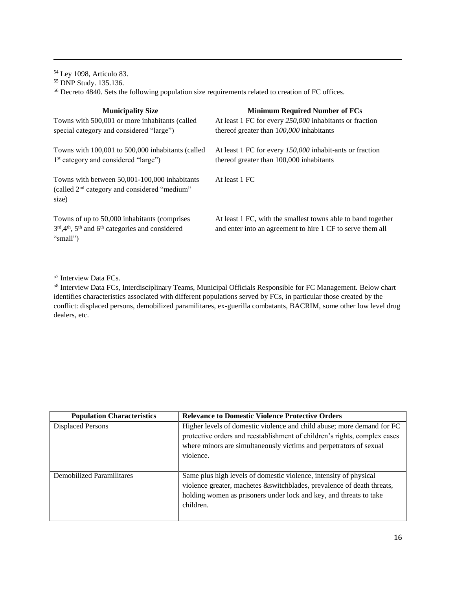<sup>54</sup> Ley 1098, Articulo 83. <sup>55</sup> DNP Study. 135.136. <sup>56</sup> Decreto 4840. Sets the following population size requirements related to creation of FC offices.

| <b>Municipality Size</b>                                                                                              | <b>Minimum Required Number of FCs</b>                                                                                      |
|-----------------------------------------------------------------------------------------------------------------------|----------------------------------------------------------------------------------------------------------------------------|
| Towns with 500,001 or more inhabitants (called                                                                        | At least 1 FC for every 250,000 inhabitants or fraction                                                                    |
| special category and considered "large")                                                                              | thereof greater than $100,000$ inhabitants                                                                                 |
| Towns with 100,001 to 500,000 inhabitants (called<br>1 <sup>st</sup> category and considered "large")                 | At least 1 FC for every 150,000 inhabit-ants or fraction<br>thereof greater than 100,000 inhabitants                       |
| Towns with between 50,001-100,000 inhabitants<br>(called 2 <sup>nd</sup> category and considered "medium"<br>size)    | At least 1 FC                                                                                                              |
| Towns of up to 50,000 inhabitants (comprises<br>$3rd$ , $4th$ , $5th$ and $6th$ categories and considered<br>"small") | At least 1 FC, with the smallest towns able to band together<br>and enter into an agreement to hire 1 CF to serve them all |

<sup>57</sup> Interview Data FCs.

 $\overline{a}$ 

<sup>58</sup> Interview Data FCs, Interdisciplinary Teams, Municipal Officials Responsible for FC Management. Below chart identifies characteristics associated with different populations served by FCs, in particular those created by the conflict: displaced persons, demobilized paramilitares, ex-guerilla combatants, BACRIM, some other low level drug dealers, etc.

| <b>Population Characteristics</b> | <b>Relevance to Domestic Violence Protective Orders</b>                   |
|-----------------------------------|---------------------------------------------------------------------------|
| <b>Displaced Persons</b>          | Higher levels of domestic violence and child abuse; more demand for FC    |
|                                   | protective orders and reestablishment of children's rights, complex cases |
|                                   | where minors are simultaneously victims and perpetrators of sexual        |
|                                   | violence.                                                                 |
|                                   |                                                                           |
| <b>Demobilized Paramilitares</b>  | Same plus high levels of domestic violence, intensity of physical         |
|                                   | violence greater, machetes &switchblades, prevalence of death threats,    |
|                                   | holding women as prisoners under lock and key, and threats to take        |
|                                   | children.                                                                 |
|                                   |                                                                           |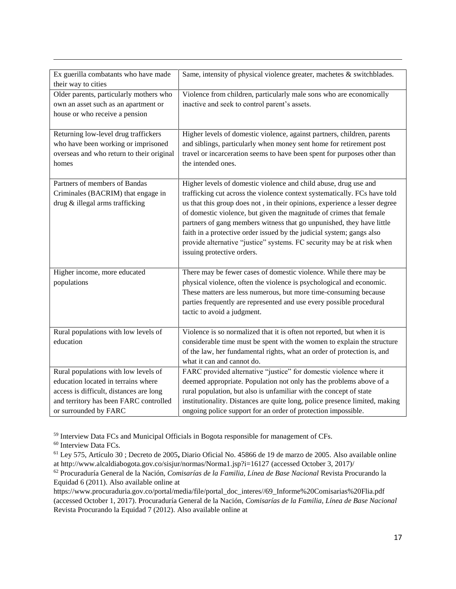| Ex guerilla combatants who have made<br>their way to cities | Same, intensity of physical violence greater, machetes & switchblades.      |
|-------------------------------------------------------------|-----------------------------------------------------------------------------|
|                                                             |                                                                             |
| Older parents, particularly mothers who                     | Violence from children, particularly male sons who are economically         |
| own an asset such as an apartment or                        | inactive and seek to control parent's assets.                               |
| house or who receive a pension                              |                                                                             |
| Returning low-level drug traffickers                        | Higher levels of domestic violence, against partners, children, parents     |
| who have been working or imprisoned                         | and siblings, particularly when money sent home for retirement post         |
| overseas and who return to their original                   | travel or incarceration seems to have been spent for purposes other than    |
| homes                                                       | the intended ones.                                                          |
|                                                             |                                                                             |
| Partners of members of Bandas                               | Higher levels of domestic violence and child abuse, drug use and            |
| Criminales (BACRIM) that engage in                          | trafficking cut across the violence context systematically. FCs have told   |
| drug & illegal arms trafficking                             | us that this group does not, in their opinions, experience a lesser degree  |
|                                                             | of domestic violence, but given the magnitude of crimes that female         |
|                                                             | partners of gang members witness that go unpunished, they have little       |
|                                                             | faith in a protective order issued by the judicial system; gangs also       |
|                                                             | provide alternative "justice" systems. FC security may be at risk when      |
|                                                             |                                                                             |
|                                                             | issuing protective orders.                                                  |
| Higher income, more educated                                | There may be fewer cases of domestic violence. While there may be           |
| populations                                                 | physical violence, often the violence is psychological and economic.        |
|                                                             | These matters are less numerous, but more time-consuming because            |
|                                                             |                                                                             |
|                                                             | parties frequently are represented and use every possible procedural        |
|                                                             | tactic to avoid a judgment.                                                 |
| Rural populations with low levels of                        | Violence is so normalized that it is often not reported, but when it is     |
| education                                                   | considerable time must be spent with the women to explain the structure     |
|                                                             | of the law, her fundamental rights, what an order of protection is, and     |
|                                                             |                                                                             |
|                                                             | what it can and cannot do.                                                  |
| Rural populations with low levels of                        | FARC provided alternative "justice" for domestic violence where it          |
| education located in terrains where                         | deemed appropriate. Population not only has the problems above of a         |
| access is difficult, distances are long                     | rural population, but also is unfamiliar with the concept of state          |
| and territory has been FARC controlled                      | institutionality. Distances are quite long, police presence limited, making |
| or surrounded by FARC                                       | ongoing police support for an order of protection impossible.               |

<sup>59</sup> Interview Data FCs and Municipal Officials in Bogota responsible for management of CFs.

<sup>60</sup> Interview Data FCs.

 $\overline{a}$ 

<sup>61</sup> Ley 575, Artículo 30 ; Decreto de 2005**,** Diario Oficial No. 45866 de 19 de marzo de 2005. Also available online at http://www.alcaldiabogota.gov.co/sisjur/normas/Norma1.jsp?i=16127 (accessed October 3, 2017)/

https://www.procuraduria.gov.co/portal/media/file/portal\_doc\_interes//69\_Informe%20Comisarias%20Flia.pdf (accessed October 1, 2017). Procuraduría General de la Nación, *Comisarías de la Familia, Línea de Base Nacional* Revista Procurando la Equidad 7 (2012). Also available online at

<sup>62</sup> Procuraduría General de la Nación, *Comisarías de la Familia, Línea de Base Nacional* Revista Procurando la Equidad 6 (2011). Also available online at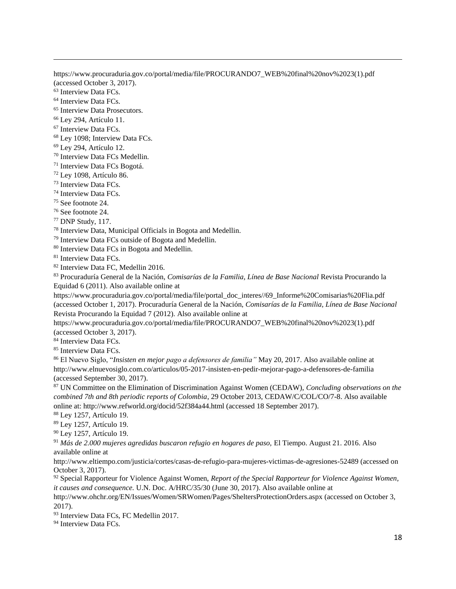https://www.procuraduria.gov.co/portal/media/file/PROCURANDO7\_WEB%20final%20nov%2023(1).pdf (accessed October 3, 2017).

<sup>63</sup> Interview Data FCs.

 $\overline{a}$ 

<sup>64</sup> Interview Data FCs.

<sup>65</sup> Interview Data Prosecutors.

<sup>66</sup> Ley 294, Artículo 11.

<sup>67</sup> Interview Data FCs.

<sup>68</sup> Ley 1098; Interview Data FCs.

<sup>69</sup> Ley 294, Artículo 12.

<sup>70</sup> Interview Data FCs Medellin.

<sup>71</sup> Interview Data FCs Bogotá.

<sup>72</sup> Ley 1098, Artículo 86.

<sup>73</sup> Interview Data FCs.

<sup>74</sup> Interview Data FCs.

<sup>75</sup> See footnote 24.

<sup>76</sup> See footnote 24.

<sup>77</sup> DNP Study, 117.

<sup>78</sup> Interview Data, Municipal Officials in Bogota and Medellin.

<sup>79</sup> Interview Data FCs outside of Bogota and Medellin.

<sup>80</sup> Interview Data FCs in Bogota and Medellin.

<sup>81</sup> Interview Data FCs.

<sup>82</sup> Interview Data FC, Medellin 2016.

<sup>83</sup> Procuraduría General de la Nación, *Comisarías de la Familia, Línea de Base Nacional* Revista Procurando la Equidad 6 (2011). Also available online at

https://www.procuraduria.gov.co/portal/media/file/portal\_doc\_interes//69\_Informe%20Comisarias%20Flia.pdf (accessed October 1, 2017). Procuraduría General de la Nación, *Comisarías de la Familia, Línea de Base Nacional* Revista Procurando la Equidad 7 (2012). Also available online at

https://www.procuraduria.gov.co/portal/media/file/PROCURANDO7\_WEB%20final%20nov%2023(1).pdf (accessed October 3, 2017).

84 Interview Data FCs.

85 Interview Data FCs.

<sup>86</sup> El Nuevo Siglo, "*Insisten en mejor pago a defensores de familia"* May 20, 2017. Also available online at http://www.elnuevosiglo.com.co/articulos/05-2017-insisten-en-pedir-mejorar-pago-a-defensores-de-familia (accessed September 30, 2017).

<sup>87</sup> UN Committee on the Elimination of Discrimination Against Women (CEDAW), *Concluding observations on the combined 7th and 8th periodic reports of Colombia*, 29 October 2013, CEDAW/C/COL/CO/7-8. Also available online at: http://www.refworld.org/docid/52f384a44.html (accessed 18 September 2017).

<sup>88</sup> Ley 1257, Artículo 19.

<sup>89</sup> Ley 1257, Artículo 19.

<sup>90</sup> Ley 1257, Artículo 19.

<sup>91</sup> *Más de 2.000 mujeres agredidas buscaron refugio en hogares de paso,* El Tiempo. August 21. 2016. Also available online at

http://www.eltiempo.com/justicia/cortes/casas-de-refugio-para-mujeres-victimas-de-agresiones-52489 (accessed on October 3, 2017).

<sup>92</sup> Special Rapporteur for Violence Against Women, *Report of the Special Rapporteur for Violence Against Women, it causes and consequence.* U.N. Doc. A/HRC/35/30 (June 30, 2017). Also available online at

http://www.ohchr.org/EN/Issues/Women/SRWomen/Pages/SheltersProtectionOrders.aspx (accessed on October 3, 2017).

<sup>93</sup> Interview Data FCs, FC Medellin 2017.

<sup>94</sup> Interview Data FCs.